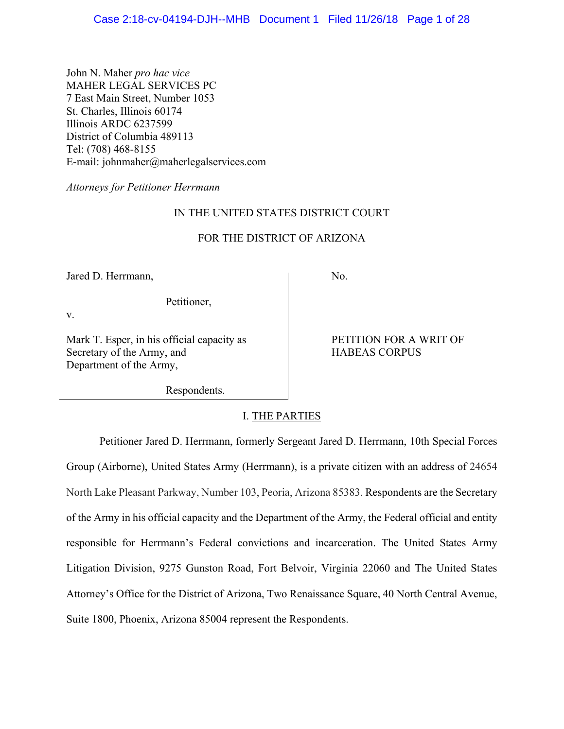John N. Maher *pro hac vice* MAHER LEGAL SERVICES PC 7 East Main Street, Number 1053 St. Charles, Illinois 60174 Illinois ARDC 6237599 District of Columbia 489113 Tel: (708) 468-8155 E-mail: [johnmaher@maherlegalservices.com](mailto:johnmaher@maherlegalservices.com)

*Attorneys for Petitioner Herrmann*

# IN THE UNITED STATES DISTRICT COURT

# FOR THE DISTRICT OF ARIZONA

Jared D. Herrmann, No. 1

Petitioner,

v.

Mark T. Esper, in his official capacity as PETITION FOR A WRIT OF Secretary of the Army, and HABEAS CORPUS Department of the Army,

Respondents.

I. THE PARTIES

Petitioner Jared D. Herrmann, formerly Sergeant Jared D. Herrmann, 10th Special Forces Group (Airborne), United States Army (Herrmann), is a private citizen with an address of 24654 North Lake Pleasant Parkway, Number 103, Peoria, Arizona 85383. Respondents are the Secretary of the Army in his official capacity and the Department of the Army, the Federal official and entity responsible for Herrmann's Federal convictions and incarceration. The United States Army Litigation Division, 9275 Gunston Road, Fort Belvoir, Virginia 22060 and The United States Attorney's Office for the District of Arizona, Two Renaissance Square, 40 North Central Avenue, Suite 1800, Phoenix, Arizona 85004 represent the Respondents.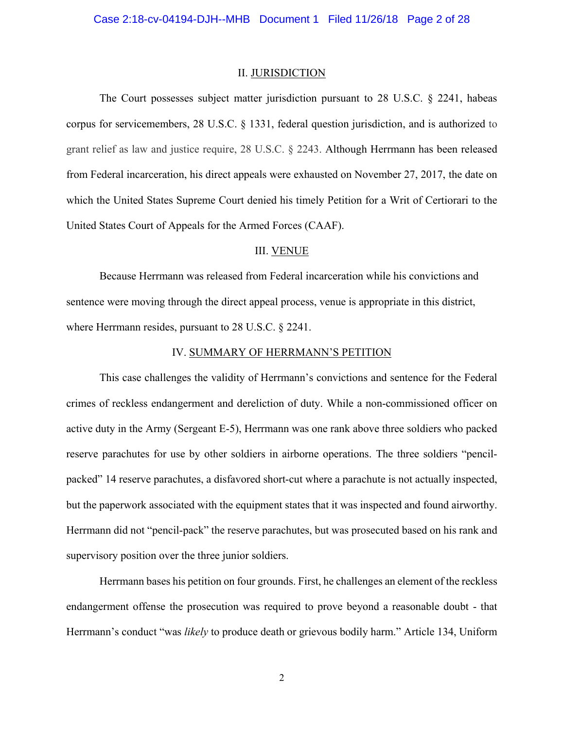#### II. JURISDICTION

The Court possesses subject matter jurisdiction pursuant to 28 U.S.C. § 2241, habeas corpus for servicemembers, 28 U.S.C. § 1331, federal question jurisdiction, and is authorized to grant relief as law and justice require, 28 U.S.C. § 2243. Although Herrmann has been released from Federal incarceration, his direct appeals were exhausted on November 27, 2017, the date on which the United States Supreme Court denied his timely Petition for a Writ of Certiorari to the United States Court of Appeals for the Armed Forces (CAAF).

## III. VENUE

Because Herrmann was released from Federal incarceration while his convictions and sentence were moving through the direct appeal process, venue is appropriate in this district, where Herrmann resides, pursuant to 28 U.S.C. § 2241.

### IV. SUMMARY OF HERRMANN'S PETITION

This case challenges the validity of Herrmann's convictions and sentence for the Federal crimes of reckless endangerment and dereliction of duty. While a non-commissioned officer on active duty in the Army (Sergeant E-5), Herrmann was one rank above three soldiers who packed reserve parachutes for use by other soldiers in airborne operations. The three soldiers "pencilpacked" 14 reserve parachutes, a disfavored short-cut where a parachute is not actually inspected, but the paperwork associated with the equipment states that it was inspected and found airworthy. Herrmann did not "pencil-pack" the reserve parachutes, but was prosecuted based on his rank and supervisory position over the three junior soldiers.

Herrmann bases his petition on four grounds. First, he challenges an element of the reckless endangerment offense the prosecution was required to prove beyond a reasonable doubt - that Herrmann's conduct "was *likely* to produce death or grievous bodily harm." Article 134, Uniform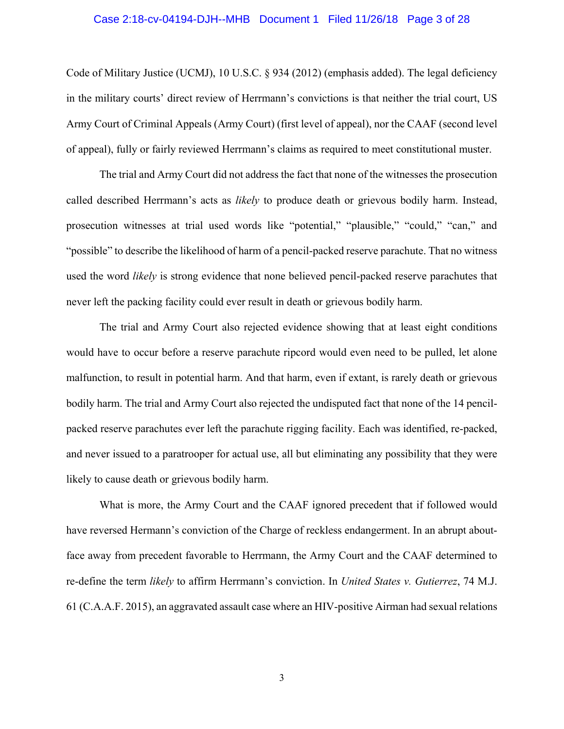# Case 2:18-cv-04194-DJH--MHB Document 1 Filed 11/26/18 Page 3 of 28

Code of Military Justice (UCMJ), 10 U.S.C. § 934 (2012) (emphasis added). The legal deficiency in the military courts' direct review of Herrmann's convictions is that neither the trial court, US Army Court of Criminal Appeals (Army Court) (first level of appeal), nor the CAAF (second level of appeal), fully or fairly reviewed Herrmann's claims as required to meet constitutional muster.

The trial and Army Court did not address the fact that none of the witnesses the prosecution called described Herrmann's acts as *likely* to produce death or grievous bodily harm. Instead, prosecution witnesses at trial used words like "potential," "plausible," "could," "can," and "possible" to describe the likelihood of harm of a pencil-packed reserve parachute. That no witness used the word *likely* is strong evidence that none believed pencil-packed reserve parachutes that never left the packing facility could ever result in death or grievous bodily harm.

The trial and Army Court also rejected evidence showing that at least eight conditions would have to occur before a reserve parachute ripcord would even need to be pulled, let alone malfunction, to result in potential harm. And that harm, even if extant, is rarely death or grievous bodily harm. The trial and Army Court also rejected the undisputed fact that none of the 14 pencilpacked reserve parachutes ever left the parachute rigging facility. Each was identified, re-packed, and never issued to a paratrooper for actual use, all but eliminating any possibility that they were likely to cause death or grievous bodily harm.

What is more, the Army Court and the CAAF ignored precedent that if followed would have reversed Hermann's conviction of the Charge of reckless endangerment. In an abrupt aboutface away from precedent favorable to Herrmann, the Army Court and the CAAF determined to re-define the term *likely* to affirm Herrmann's conviction. In *United States v. Gutierrez*, 74 M.J. 61 (C.A.A.F. 2015), an aggravated assault case where an HIV-positive Airman had sexual relations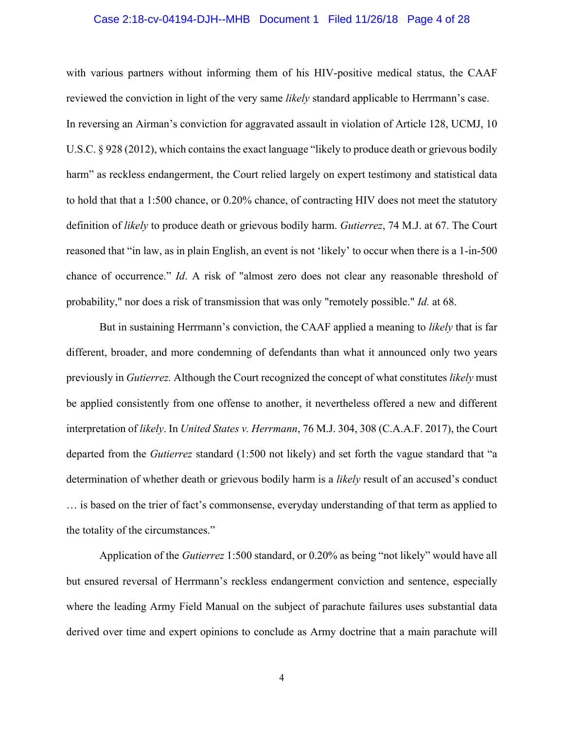# Case 2:18-cv-04194-DJH--MHB Document 1 Filed 11/26/18 Page 4 of 28

with various partners without informing them of his HIV-positive medical status, the CAAF reviewed the conviction in light of the very same *likely* standard applicable to Herrmann's case. In reversing an Airman's conviction for aggravated assault in violation of Article 128, UCMJ, 10 U.S.C. § 928 (2012), which contains the exact language "likely to produce death or grievous bodily harm" as reckless endangerment, the Court relied largely on expert testimony and statistical data to hold that that a 1:500 chance, or 0.20% chance, of contracting HIV does not meet the statutory definition of *likely* to produce death or grievous bodily harm. *Gutierrez*, 74 M.J. at 67. The Court reasoned that "in law, as in plain English, an event is not 'likely' to occur when there is a 1-in-500 chance of occurrence." *Id*. A risk of "almost zero does not clear any reasonable threshold of probability," nor does a risk of transmission that was only "remotely possible." *Id.* [at 68.](http://www.lexis.com/research/buttonTFLink?_m=39579a885558aa60af6da59abef3f98d&_xfercite=%3ccite%20cc%3d%22USA%22%3e%3c%21%5bCDATA%5b2015%20CCA%20LEXIS%20328%5d%5d%3e%3c%2fcite%3e&_butType=3&_butStat=2&_butNum=48&_butInline=1&_butinfo=%3ccite%20cc%3d%22USA%22%3e%3c%21%5bCDATA%5b74%20M.J.%2061%2c%2066%5d%5d%3e%3c%2fcite%3e&_fmtstr=FULL&docnum=1&_startdoc=1&wchp=dGLzVzt-zSkAz&_md5=2a1176d598105989cd27f9a3af90bd34)

But in sustaining Herrmann's conviction, the CAAF applied a meaning to *likely* that is far different, broader, and more condemning of defendants than what it announced only two years previously in *Gutierrez.* Although the Court recognized the concept of what constitutes *likely* must be applied consistently from one offense to another, it nevertheless offered a new and different interpretation of *likely*. In *United States v. Herrmann*, 76 M.J. 304, 308 (C.A.A.F. 2017), the Court departed from the *Gutierrez* standard (1:500 not likely) and set forth the vague standard that "a determination of whether death or grievous bodily harm is a *likely* result of an accused's conduct … is based on the trier of fact's commonsense, everyday understanding of that term as applied to the totality of the circumstances."

Application of the *Gutierrez* 1:500 standard, or 0.20% as being "not likely" would have all but ensured reversal of Herrmann's reckless endangerment conviction and sentence, especially where the leading Army Field Manual on the subject of parachute failures uses substantial data derived over time and expert opinions to conclude as Army doctrine that a main parachute will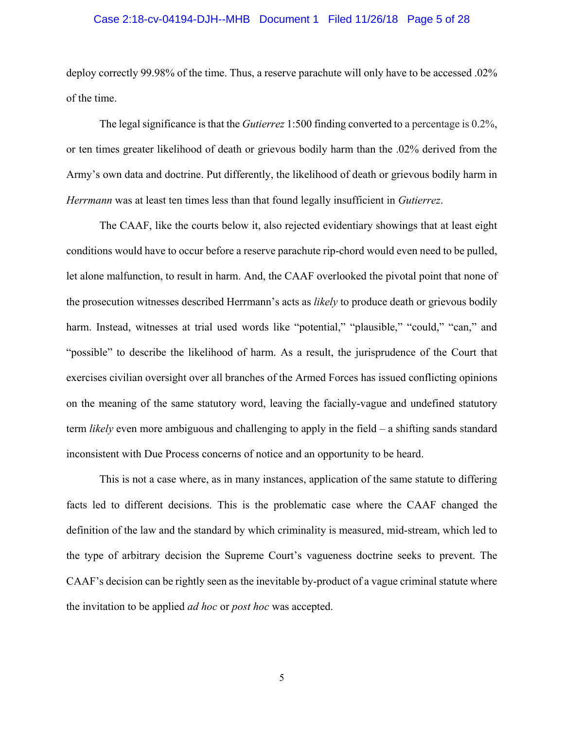# Case 2:18-cv-04194-DJH--MHB Document 1 Filed 11/26/18 Page 5 of 28

deploy correctly 99.98% of the time. Thus, a reserve parachute will only have to be accessed .02% of the time.

The legal significance is that the *Gutierrez* 1:500 finding converted to a percentage is 0.2%, or ten times greater likelihood of death or grievous bodily harm than the .02% derived from the Army's own data and doctrine. Put differently, the likelihood of death or grievous bodily harm in *Herrmann* was at least ten times less than that found legally insufficient in *Gutierrez*.

The CAAF, like the courts below it, also rejected evidentiary showings that at least eight conditions would have to occur before a reserve parachute rip-chord would even need to be pulled, let alone malfunction, to result in harm. And, the CAAF overlooked the pivotal point that none of the prosecution witnesses described Herrmann's acts as *likely* to produce death or grievous bodily harm. Instead, witnesses at trial used words like "potential," "plausible," "could," "can," and "possible" to describe the likelihood of harm. As a result, the jurisprudence of the Court that exercises civilian oversight over all branches of the Armed Forces has issued conflicting opinions on the meaning of the same statutory word, leaving the facially-vague and undefined statutory term *likely* even more ambiguous and challenging to apply in the field – a shifting sands standard inconsistent with Due Process concerns of notice and an opportunity to be heard.

This is not a case where, as in many instances, application of the same statute to differing facts led to different decisions. This is the problematic case where the CAAF changed the definition of the law and the standard by which criminality is measured, mid-stream, which led to the type of arbitrary decision the Supreme Court's vagueness doctrine seeks to prevent. The CAAF's decision can be rightly seen as the inevitable by-product of a vague criminal statute where the invitation to be applied *ad hoc* or *post hoc* was accepted.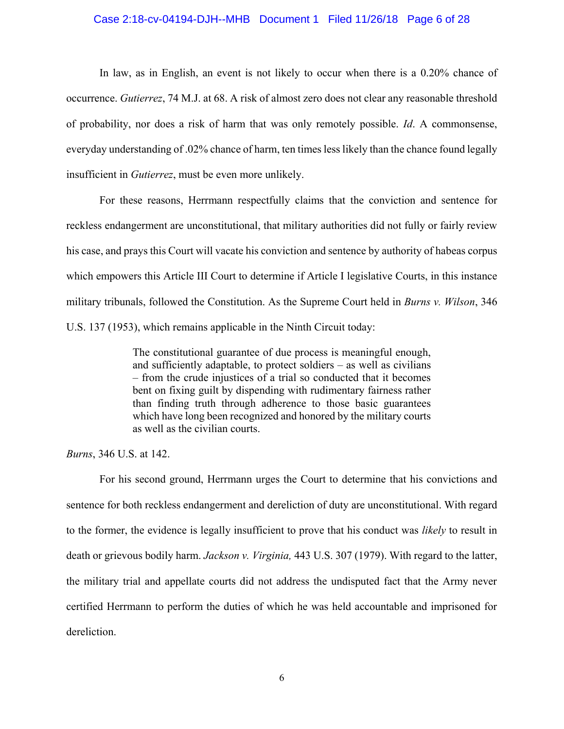#### Case 2:18-cv-04194-DJH--MHB Document 1 Filed 11/26/18 Page 6 of 28

In law, as in English, an event is not likely to occur when there is a 0.20% chance of occurrence. *Gutierrez*, 74 M.J. at 68. A risk of almost zero does not clear any reasonable threshold of probability, nor does a risk of harm that was only remotely possible. *Id*. A commonsense, everyday understanding of .02% chance of harm, ten times less likely than the chance found legally insufficient in *Gutierrez*, must be even more unlikely.

For these reasons, Herrmann respectfully claims that the conviction and sentence for reckless endangerment are unconstitutional, that military authorities did not fully or fairly review his case, and prays this Court will vacate his conviction and sentence by authority of habeas corpus which empowers this Article III Court to determine if Article I legislative Courts, in this instance military tribunals, followed the Constitution. As the Supreme Court held in *Burns v. Wilson*, 346 U.S. 137 (1953), which remains applicable in the Ninth Circuit today:

> The constitutional guarantee of due process is meaningful enough, and sufficiently adaptable, to protect soldiers – as well as civilians – from the crude injustices of a trial so conducted that it becomes bent on fixing guilt by dispending with rudimentary fairness rather than finding truth through adherence to those basic guarantees which have long been recognized and honored by the military courts as well as the civilian courts.

*Burns*, 346 U.S. at 142.

For his second ground, Herrmann urges the Court to determine that his convictions and sentence for both reckless endangerment and dereliction of duty are unconstitutional. With regard to the former, the evidence is legally insufficient to prove that his conduct was *likely* to result in death or grievous bodily harm. *Jackson v. Virginia,* 443 U.S. 307 (1979). With regard to the latter, the military trial and appellate courts did not address the undisputed fact that the Army never certified Herrmann to perform the duties of which he was held accountable and imprisoned for dereliction.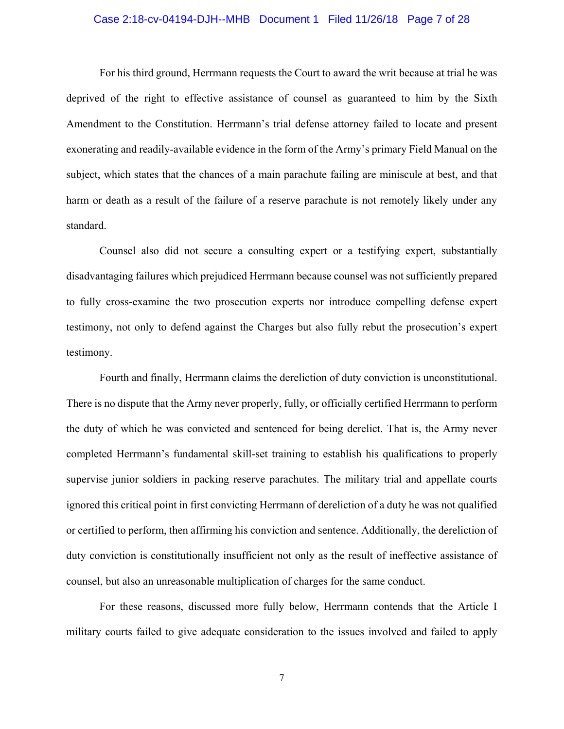## Case 2:18-cv-04194-DJH--MHB Document 1 Filed 11/26/18 Page 7 of 28

For his third ground, Herrmann requests the Court to award the writ because at trial he was deprived of the right to effective assistance of counsel as guaranteed to him by the Sixth Amendment to the Constitution. Herrmann's trial defense attorney failed to locate and present exonerating and readily-available evidence in the form of the Army's primary Field Manual on the subject, which states that the chances of a main parachute failing are miniscule at best, and that harm or death as a result of the failure of a reserve parachute is not remotely likely under any standard.

Counsel also did not secure a consulting expert or a testifying expert, substantially disadvantaging failures which prejudiced Herrmann because counsel was not sufficiently prepared to fully cross-examine the two prosecution experts nor introduce compelling defense expert testimony, not only to defend against the Charges but also fully rebut the prosecution's expert testimony.

Fourth and finally, Herrmann claims the dereliction of duty conviction is unconstitutional. There is no dispute that the Army never properly, fully, or officially certified Herrmann to perform the duty of which he was convicted and sentenced for being derelict. That is, the Army never completed Herrmann's fundamental skill-set training to establish his qualifications to properly supervise junior soldiers in packing reserve parachutes. The military trial and appellate courts ignored this critical point in first convicting Herrmann of dereliction of a duty he was not qualified or certified to perform, then affirming his conviction and sentence. Additionally, the dereliction of duty conviction is constitutionally insufficient not only as the result of ineffective assistance of counsel, but also an unreasonable multiplication of charges for the same conduct.

For these reasons, discussed more fully below, Herrmann contends that the Article I military courts failed to give adequate consideration to the issues involved and failed to apply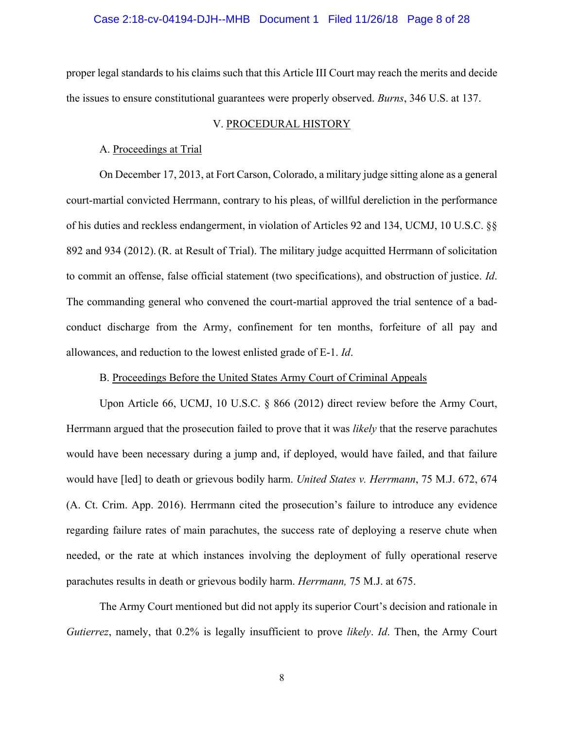# Case 2:18-cv-04194-DJH--MHB Document 1 Filed 11/26/18 Page 8 of 28

proper legal standards to his claims such that this Article III Court may reach the merits and decide the issues to ensure constitutional guarantees were properly observed. *Burns*, 346 U.S. at 137.

### V. PROCEDURAL HISTORY

## A. Proceedings at Trial

On December 17, 2013, at Fort Carson, Colorado, a military judge sitting alone as a general court-martial convicted Herrmann, contrary to his pleas, of willful dereliction in the performance of his duties and reckless endangerment, in violation of Articles 92 and 134, UCMJ, 10 U.S.C. §§ 892 and 934 (2012). (R. at Result of Trial). The military judge acquitted Herrmann of solicitation to commit an offense, false official statement (two specifications), and obstruction of justice. *Id*. The commanding general who convened the court-martial approved the trial sentence of a badconduct discharge from the Army, confinement for ten months, forfeiture of all pay and allowances, and reduction to the lowest enlisted grade of E-1. *Id*.

## B. Proceedings Before the United States Army Court of Criminal Appeals

Upon Article 66, UCMJ, 10 U.S.C. § 866 (2012) direct review before the Army Court, Herrmann argued that the prosecution failed to prove that it was *likely* that the reserve parachutes would have been necessary during a jump and, if deployed, would have failed, and that failure would have [led] to death or grievous bodily harm. *United States v. Herrmann*, 75 M.J. 672, 674 (A. Ct. Crim. App. 2016). Herrmann cited the prosecution's failure to introduce any evidence regarding failure rates of main parachutes, the success rate of deploying a reserve chute when needed, or the rate at which instances involving the deployment of fully operational reserve parachutes results in death or grievous bodily harm. *Herrmann,* 75 M.J. at 675.

The Army Court mentioned but did not apply its superior Court's decision and rationale in *Gutierrez*, namely, that 0.2% is legally insufficient to prove *likely*. *Id*. Then, the Army Court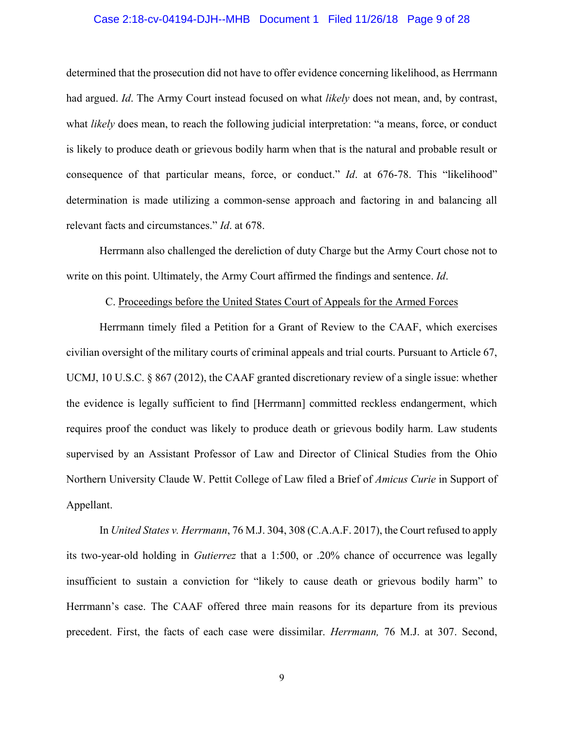## Case 2:18-cv-04194-DJH--MHB Document 1 Filed 11/26/18 Page 9 of 28

determined that the prosecution did not have to offer evidence concerning likelihood, as Herrmann had argued. *Id*. The Army Court instead focused on what *likely* does not mean, and, by contrast, what *likely* does mean, to reach the following judicial interpretation: "a means, force, or conduct is likely to produce death or grievous bodily harm when that is the natural and probable result or consequence of that particular means, force, or conduct." *Id*. at 676-78. This "likelihood" determination is made utilizing a common-sense approach and factoring in and balancing all relevant facts and circumstances." *Id*. at 678.

Herrmann also challenged the dereliction of duty Charge but the Army Court chose not to write on this point. Ultimately, the Army Court affirmed the findings and sentence. *Id*.

## C. Proceedings before the United States Court of Appeals for the Armed Forces

Herrmann timely filed a Petition for a Grant of Review to the CAAF, which exercises civilian oversight of the military courts of criminal appeals and trial courts. Pursuant to Article 67, UCMJ, 10 U.S.C. § 867 (2012), the CAAF granted discretionary review of a single issue: whether the evidence is legally sufficient to find [Herrmann] committed reckless endangerment, which requires proof the conduct was likely to produce death or grievous bodily harm. Law students supervised by an Assistant Professor of Law and Director of Clinical Studies from the Ohio Northern University Claude W. Pettit College of Law filed a Brief of *Amicus Curie* in Support of Appellant.

In *United States v. Herrmann*, 76 M.J. 304, 308 (C.A.A.F. 2017), the Court refused to apply its two-year-old holding in *Gutierrez* that a 1:500, or .20% chance of occurrence was legally insufficient to sustain a conviction for "likely to cause death or grievous bodily harm" to Herrmann's case. The CAAF offered three main reasons for its departure from its previous precedent. First, the facts of each case were dissimilar. *Herrmann,* 76 M.J. at 307. Second,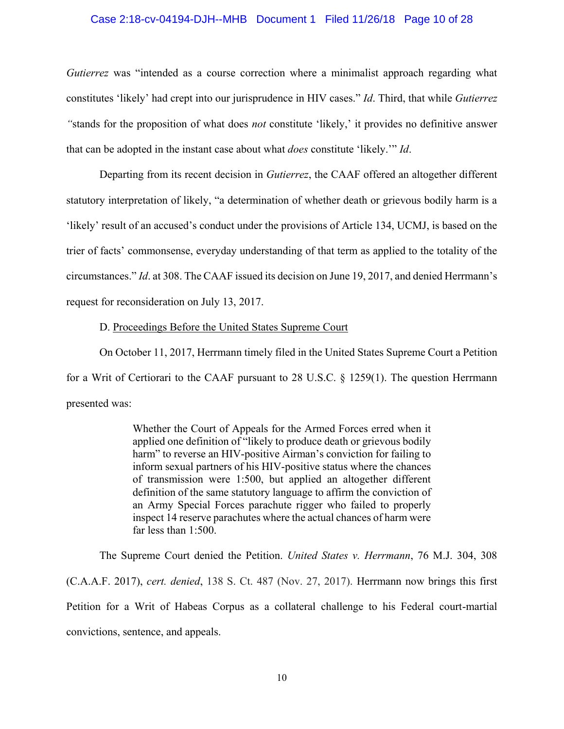#### Case 2:18-cv-04194-DJH--MHB Document 1 Filed 11/26/18 Page 10 of 28

*Gutierrez* was "intended as a course correction where a minimalist approach regarding what constitutes 'likely' had crept into our jurisprudence in HIV cases." *Id*. Third, that while *Gutierrez "*stands for the proposition of what does *not* constitute 'likely,' it provides no definitive answer that can be adopted in the instant case about what *does* constitute 'likely.'" *Id*.

Departing from its recent decision in *Gutierrez*, the CAAF offered an altogether different statutory interpretation of likely, "a determination of whether death or grievous bodily harm is a 'likely' result of an accused's conduct under the provisions of Article 134, UCMJ, is based on the trier of facts' commonsense, everyday understanding of that term as applied to the totality of the circumstances." *Id*. at 308. The CAAF issued its decision on June 19, 2017, and denied Herrmann's request for reconsideration on July 13, 2017.

D. Proceedings Before the United States Supreme Court

On October 11, 2017, Herrmann timely filed in the United States Supreme Court a Petition for a Writ of Certiorari to the CAAF pursuant to 28 U.S.C. § 1259(1). The question Herrmann presented was:

> Whether the Court of Appeals for the Armed Forces erred when it applied one definition of "likely to produce death or grievous bodily harm" to reverse an HIV-positive Airman's conviction for failing to inform sexual partners of his HIV-positive status where the chances of transmission were 1:500, but applied an altogether different definition of the same statutory language to affirm the conviction of an Army Special Forces parachute rigger who failed to properly inspect 14 reserve parachutes where the actual chances of harm were far less than 1:500.

The Supreme Court denied the Petition. *United States v. Herrmann*, 76 M.J. 304, 308 (C.A.A.F. 2017), *cert. denied*, 138 S. Ct. 487 (Nov. 27, 2017). Herrmann now brings this first Petition for a Writ of Habeas Corpus as a collateral challenge to his Federal court-martial convictions, sentence, and appeals.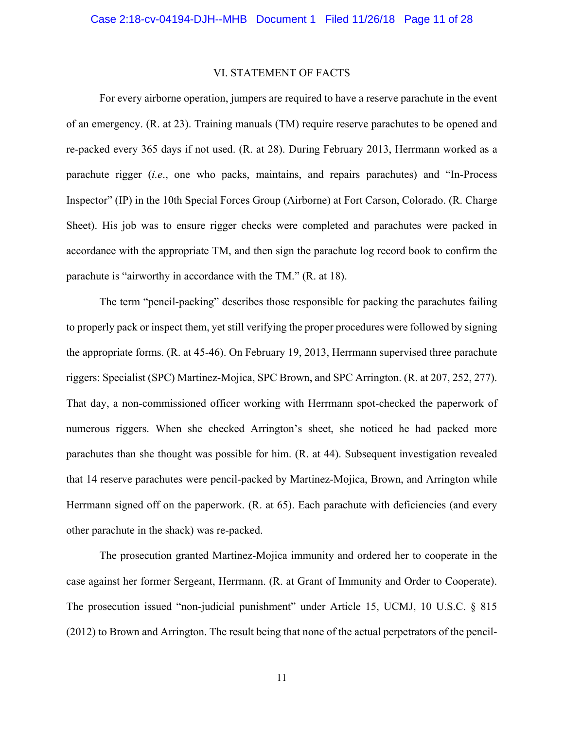#### VI. STATEMENT OF FACTS

For every airborne operation, jumpers are required to have a reserve parachute in the event of an emergency. (R. at 23). Training manuals (TM) require reserve parachutes to be opened and re-packed every 365 days if not used. (R. at 28). During February 2013, Herrmann worked as a parachute rigger (*i.e*., one who packs, maintains, and repairs parachutes) and "In-Process Inspector" (IP) in the 10th Special Forces Group (Airborne) at Fort Carson, Colorado. (R. Charge Sheet). His job was to ensure rigger checks were completed and parachutes were packed in accordance with the appropriate TM, and then sign the parachute log record book to confirm the parachute is "airworthy in accordance with the TM." (R. at 18).

The term "pencil-packing" describes those responsible for packing the parachutes failing to properly pack or inspect them, yet still verifying the proper procedures were followed by signing the appropriate forms. (R. at 45-46). On February 19, 2013, Herrmann supervised three parachute riggers: Specialist (SPC) Martinez-Mojica, SPC Brown, and SPC Arrington. (R. at 207, 252, 277). That day, a non-commissioned officer working with Herrmann spot-checked the paperwork of numerous riggers. When she checked Arrington's sheet, she noticed he had packed more parachutes than she thought was possible for him. (R. at 44). Subsequent investigation revealed that 14 reserve parachutes were pencil-packed by Martinez-Mojica, Brown, and Arrington while Herrmann signed off on the paperwork. (R. at 65). Each parachute with deficiencies (and every other parachute in the shack) was re-packed.

The prosecution granted Martinez-Mojica immunity and ordered her to cooperate in the case against her former Sergeant, Herrmann. (R. at Grant of Immunity and Order to Cooperate). The prosecution issued "non-judicial punishment" under Article 15, UCMJ, 10 U.S.C. § 815 (2012) to Brown and Arrington. The result being that none of the actual perpetrators of the pencil-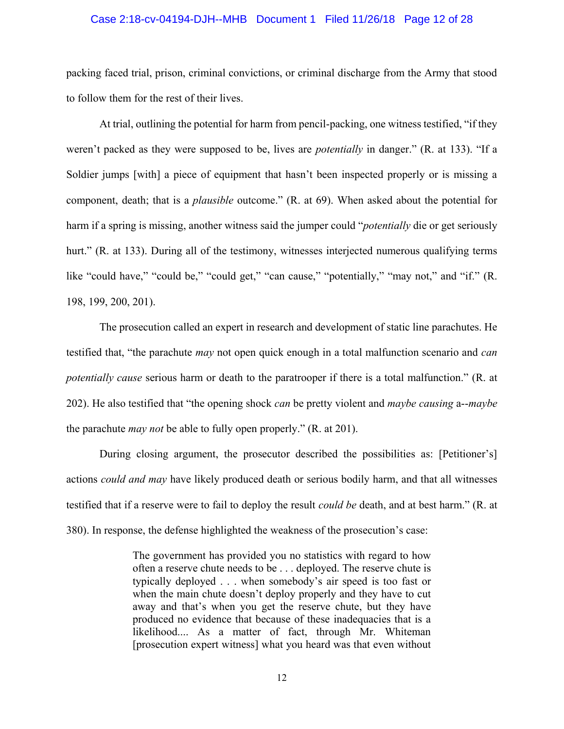#### Case 2:18-cv-04194-DJH--MHB Document 1 Filed 11/26/18 Page 12 of 28

packing faced trial, prison, criminal convictions, or criminal discharge from the Army that stood to follow them for the rest of their lives.

At trial, outlining the potential for harm from pencil-packing, one witness testified, "if they weren't packed as they were supposed to be, lives are *potentially* in danger." (R. at 133). "If a Soldier jumps [with] a piece of equipment that hasn't been inspected properly or is missing a component, death; that is a *plausible* outcome." (R. at 69). When asked about the potential for harm if a spring is missing, another witness said the jumper could "*potentially* die or get seriously hurt." (R. at 133). During all of the testimony, witnesses interjected numerous qualifying terms like "could have," "could be," "could get," "can cause," "potentially," "may not," and "if." (R. 198, 199, 200, 201).

The prosecution called an expert in research and development of static line parachutes. He testified that, "the parachute *may* not open quick enough in a total malfunction scenario and *can potentially cause* serious harm or death to the paratrooper if there is a total malfunction." (R. at 202). He also testified that "the opening shock *can* be pretty violent and *maybe causing* a--*maybe*  the parachute *may not* be able to fully open properly." (R. at 201).

During closing argument, the prosecutor described the possibilities as: [Petitioner's] actions *could and may* have likely produced death or serious bodily harm, and that all witnesses testified that if a reserve were to fail to deploy the result *could be* death, and at best harm." (R. at 380). In response, the defense highlighted the weakness of the prosecution's case:

> The government has provided you no statistics with regard to how often a reserve chute needs to be . . . deployed. The reserve chute is typically deployed . . . when somebody's air speed is too fast or when the main chute doesn't deploy properly and they have to cut away and that's when you get the reserve chute, but they have produced no evidence that because of these inadequacies that is a likelihood.... As a matter of fact, through Mr. Whiteman [prosecution expert witness] what you heard was that even without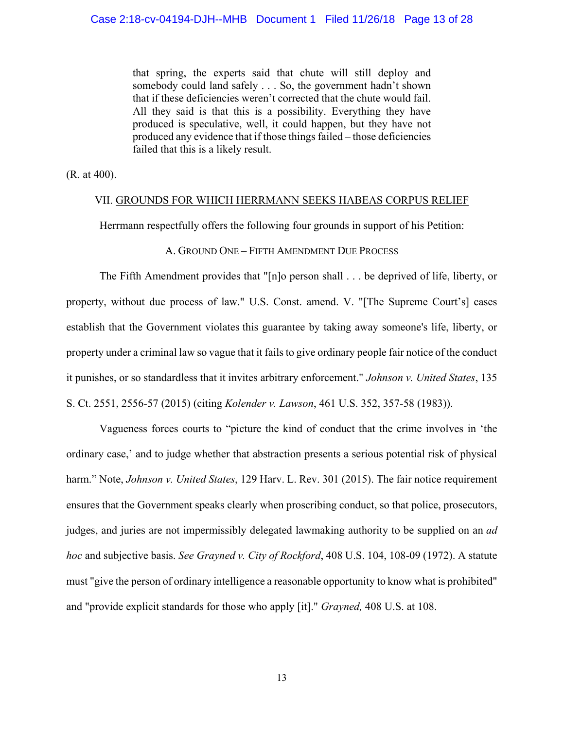that spring, the experts said that chute will still deploy and somebody could land safely . . . So, the government hadn't shown that if these deficiencies weren't corrected that the chute would fail. All they said is that this is a possibility. Everything they have produced is speculative, well, it could happen, but they have not produced any evidence that if those things failed – those deficiencies failed that this is a likely result.

(R. at 400).

## VII. GROUNDS FOR WHICH HERRMANN SEEKS HABEAS CORPUS RELIEF

Herrmann respectfully offers the following four grounds in support of his Petition:

#### A. GROUND ONE – FIFTH AMENDMENT DUE PROCESS

The Fifth Amendment provides that "[n]o person shall . . . be deprived of life, liberty, or property, without due process of law." U.S. Const. amend. V. "[The Supreme Court's] cases establish that the Government violates this guarantee by taking away someone's life, liberty, or property under a criminal law so vague that it fails to give ordinary people fair notice of the conduct it punishes, or so standardless that it invites arbitrary enforcement." *Johnson v. United States*, 135 S. Ct. 2551, 2556-57 (2015) (citing *Kolender v. Lawson*, 461 U.S. 352, 357-58 (1983)).

Vagueness forces courts to "picture the kind of conduct that the crime involves in 'the ordinary case,' and to judge whether that abstraction presents a serious potential risk of physical harm." Note, *Johnson v. United States*, 129 Harv. L. Rev. 301 (2015). The fair notice requirement ensures that the Government speaks clearly when proscribing conduct, so that police, prosecutors, judges, and juries are not impermissibly delegated lawmaking authority to be supplied on an *ad hoc* and subjective basis. *See Grayned v. City of Rockford*[, 408 U.S. 104, 108-09 \(1972\).](http://www.lexis.com/research/buttonTFLink?_m=02a11980d55744c9c1e44de638902fbe&_xfercite=%3ccite%20cc%3d%22USA%22%3e%3c%21%5bCDATA%5b2016%20U.S.%20Briefs%201144%5d%5d%3e%3c%2fcite%3e&_butType=3&_butStat=2&_butNum=136&_butInline=1&_butinfo=%3ccite%20cc%3d%22USA%22%3e%3c%21%5bCDATA%5b408%20U.S.%20104%2cat%20108%5d%5d%3e%3c%2fcite%3e&_fmtstr=FULL&docnum=4&_startdoc=1&wchp=dGLzVzk-zSkAA&_md5=c8f6cf05bf0b17e1177c7ea038c80aef) A statute must "give the person of ordinary intelligence a reasonable opportunity to know what is prohibited" and "provide explicit standards for those who apply [it]." *Grayned,* [408 U.S. at 108.](http://www.lexis.com/research/buttonTFLink?_m=18130e362e82d5bbe26c72b364d15bc8&_xfercite=%3ccite%20cc%3d%22USA%22%3e%3c%21%5bCDATA%5b2008%20U.S.%20Briefs%201448%5d%5d%3e%3c%2fcite%3e&_butType=3&_butStat=2&_butNum=51&_butInline=1&_butinfo=%3ccite%20cc%3d%22USA%22%3e%3c%21%5bCDATA%5b408%20U.S.%20104%2cat%20108%5d%5d%3e%3c%2fcite%3e&_fmtstr=FULL&docnum=10&_startdoc=1&wchp=dGLzVzk-zSkAA&_md5=cb13976252f9116b39f4c8d3bc7da524)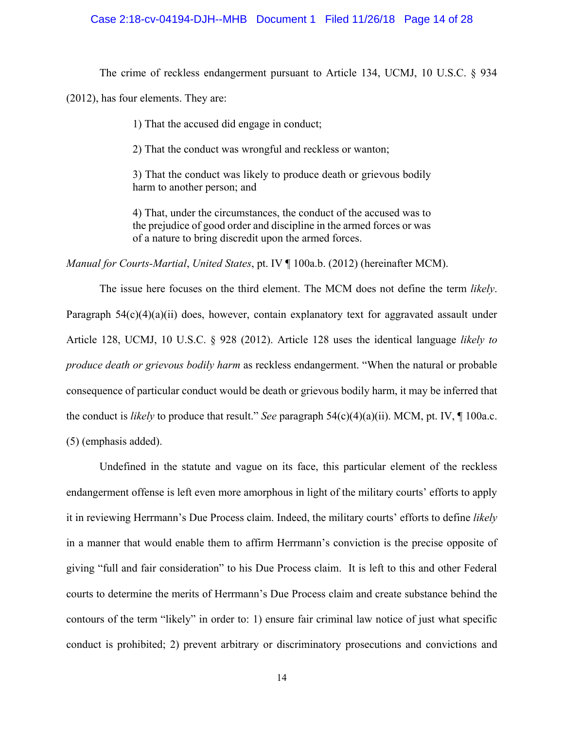#### Case 2:18-cv-04194-DJH--MHB Document 1 Filed 11/26/18 Page 14 of 28

The crime of reckless endangerment pursuant to Article 134, UCMJ, 10 U.S.C. § 934

(2012), has four elements. They are:

1) That the accused did engage in conduct;

2) That the conduct was wrongful and reckless or wanton;

3) That the conduct was likely to produce death or grievous bodily harm to another person; and

4) That, under the circumstances, the conduct of the accused was to the prejudice of good order and discipline in the armed forces or was of a nature to bring discredit upon the armed forces.

*Manual for Courts-Martial*, *United States*, pt. IV ¶ 100a.b. (2012) (hereinafter MCM).

The issue here focuses on the third element. The MCM does not define the term *likely*. Paragraph 54(c)(4)(a)(ii) does, however, contain explanatory text for aggravated assault under Article 128, UCMJ, 10 U.S.C. § 928 (2012). Article 128 uses the identical language *likely to produce death or grievous bodily harm* as reckless endangerment. "When the natural or probable consequence of particular conduct would be death or grievous bodily harm, it may be inferred that the conduct is *likely* to produce that result." *See* paragraph 54(c)(4)(a)(ii). MCM, pt. IV, ¶ 100a.c. (5) (emphasis added).

Undefined in the statute and vague on its face, this particular element of the reckless endangerment offense is left even more amorphous in light of the military courts' efforts to apply it in reviewing Herrmann's Due Process claim. Indeed, the military courts' efforts to define *likely* in a manner that would enable them to affirm Herrmann's conviction is the precise opposite of giving "full and fair consideration" to his Due Process claim. It is left to this and other Federal courts to determine the merits of Herrmann's Due Process claim and create substance behind the contours of the term "likely" in order to: 1) ensure fair criminal law notice of just what specific conduct is prohibited; 2) prevent arbitrary or discriminatory prosecutions and convictions and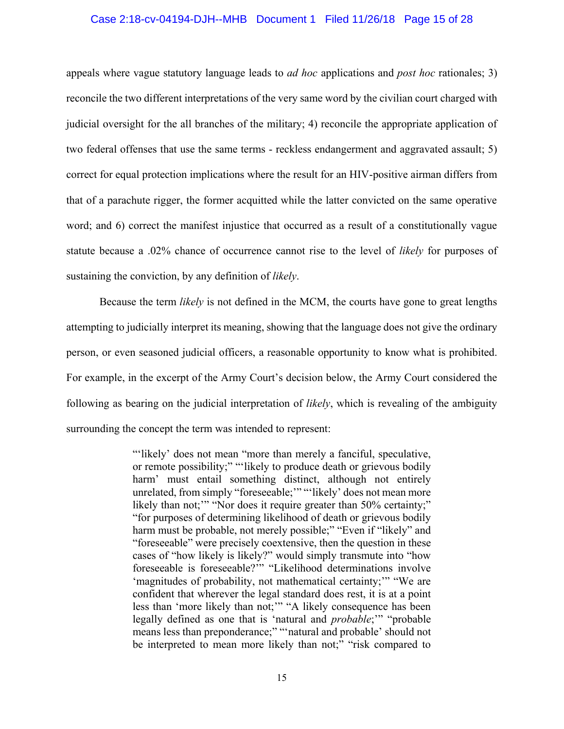#### Case 2:18-cv-04194-DJH--MHB Document 1 Filed 11/26/18 Page 15 of 28

appeals where vague statutory language leads to *ad hoc* applications and *post hoc* rationales; 3) reconcile the two different interpretations of the very same word by the civilian court charged with judicial oversight for the all branches of the military; 4) reconcile the appropriate application of two federal offenses that use the same terms - reckless endangerment and aggravated assault; 5) correct for equal protection implications where the result for an HIV-positive airman differs from that of a parachute rigger, the former acquitted while the latter convicted on the same operative word; and 6) correct the manifest injustice that occurred as a result of a constitutionally vague statute because a .02% chance of occurrence cannot rise to the level of *likely* for purposes of sustaining the conviction, by any definition of *likely*.

Because the term *likely* is not defined in the MCM, the courts have gone to great lengths attempting to judicially interpret its meaning, showing that the language does not give the ordinary person, or even seasoned judicial officers, a reasonable opportunity to know what is prohibited. For example, in the excerpt of the Army Court's decision below, the Army Court considered the following as bearing on the judicial interpretation of *likely*, which is revealing of the ambiguity surrounding the concept the term was intended to represent:

> "'likely' does not mean "more than merely a fanciful, speculative, or remote possibility;" "'likely to produce death or grievous bodily harm' must entail something distinct, although not entirely unrelated, from simply "foreseeable;'" "'likely' does not mean more likely than not;" "Nor does it require greater than 50% certainty;" "for purposes of determining likelihood of death or grievous bodily harm must be probable, not merely possible;" "Even if "likely" and "foreseeable" were precisely coextensive, then the question in these cases of "how likely is likely?" would simply transmute into "how foreseeable is foreseeable?'" "Likelihood determinations involve 'magnitudes of probability, not mathematical certainty;'" "We are confident that wherever the legal standard does rest, it is at a point less than 'more likely than not;'" "A likely consequence has been legally defined as one that is 'natural and *probable*;'" "probable means less than preponderance;" "'natural and probable' should not be interpreted to mean more likely than not;" "risk compared to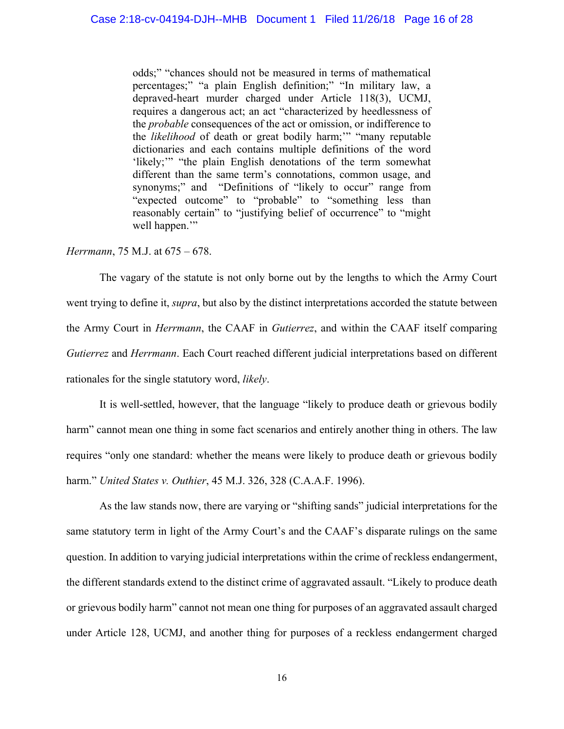odds;" "chances should not be measured in terms of mathematical percentages;" "a plain English definition;" "In military law, a depraved-heart murder charged under Article 118(3), UCMJ, requires a dangerous act; an act "characterized by heedlessness of the *probable* consequences of the act or omission, or indifference to the *likelihood* of death or great bodily harm;'" "many reputable dictionaries and each contains multiple definitions of the word 'likely;'" "the plain English denotations of the term somewhat different than the same term's connotations, common usage, and synonyms;" and "Definitions of "likely to occur" range from "expected outcome" to "probable" to "something less than reasonably certain" to "justifying belief of occurrence" to "might well happen."

#### *Herrmann*, 75 M.J. at 675 – 678.

The vagary of the statute is not only borne out by the lengths to which the Army Court went trying to define it, *supra*, but also by the distinct interpretations accorded the statute between the Army Court in *Herrmann*, the CAAF in *Gutierrez*, and within the CAAF itself comparing *Gutierrez* and *Herrmann*. Each Court reached different judicial interpretations based on different rationales for the single statutory word, *likely*.

It is well-settled, however, that the language "likely to produce death or grievous bodily harm" cannot mean one thing in some fact scenarios and entirely another thing in others. The law requires "only one standard: whether the means were likely to produce death or grievous bodily harm." *United States v. Outhier*[, 45 M.J. 326, 328 \(C.A.A.F. 1996\).](http://www.lexis.com/research/buttonTFLink?_m=5033ab3c8a5a0bc01437fd4217f7c5cc&_xfercite=%3ccite%20cc%3d%22USA%22%3e%3c%21%5bCDATA%5b2015%20CCA%20LEXIS%20254%5d%5d%3e%3c%2fcite%3e&_butType=3&_butStat=2&_butNum=19&_butInline=1&_butinfo=%3ccite%20cc%3d%22USA%22%3e%3c%21%5bCDATA%5b45%20M.J.%20326%2c%20328%5d%5d%3e%3c%2fcite%3e&_fmtstr=FULL&docnum=1&_startdoc=1&wchp=dGLzVzt-zSkAz&_md5=5b6cca9871dde471c758cad1ec087239)

As the law stands now, there are varying or "shifting sands" judicial interpretations for the same statutory term in light of the Army Court's and the CAAF's disparate rulings on the same question. In addition to varying judicial interpretations within the crime of reckless endangerment, the different standards extend to the distinct crime of aggravated assault. "Likely to produce death or grievous bodily harm" cannot not mean one thing for purposes of an aggravated assault charged under Article 128, UCMJ, and another thing for purposes of a reckless endangerment charged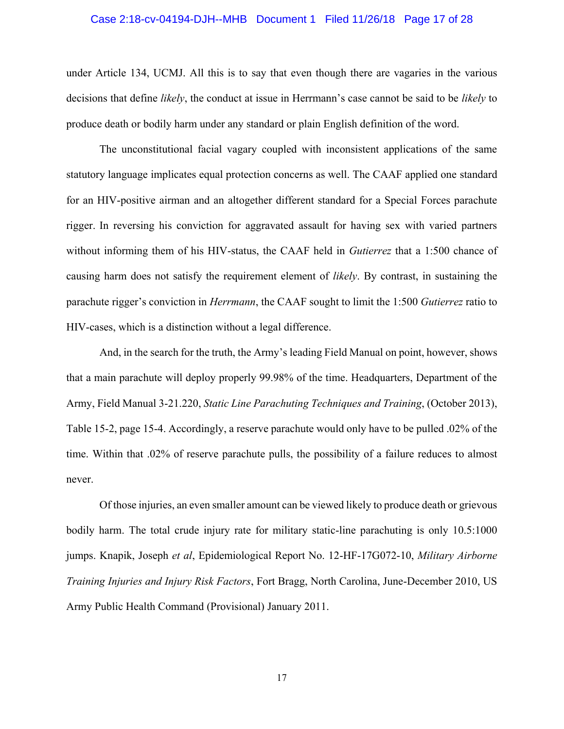#### Case 2:18-cv-04194-DJH--MHB Document 1 Filed 11/26/18 Page 17 of 28

under Article 134, UCMJ. All this is to say that even though there are vagaries in the various decisions that define *likely*, the conduct at issue in Herrmann's case cannot be said to be *likely* to produce death or bodily harm under any standard or plain English definition of the word.

The unconstitutional facial vagary coupled with inconsistent applications of the same statutory language implicates equal protection concerns as well. The CAAF applied one standard for an HIV-positive airman and an altogether different standard for a Special Forces parachute rigger. In reversing his conviction for aggravated assault for having sex with varied partners without informing them of his HIV-status, the CAAF held in *Gutierrez* that a 1:500 chance of causing harm does not satisfy the requirement element of *likely*. By contrast, in sustaining the parachute rigger's conviction in *Herrmann*, the CAAF sought to limit the 1:500 *Gutierrez* ratio to HIV-cases, which is a distinction without a legal difference.

And, in the search for the truth, the Army's leading Field Manual on point, however, shows that a main parachute will deploy properly 99.98% of the time. Headquarters, Department of the Army, Field Manual 3-21.220, *Static Line Parachuting Techniques and Training*, (October 2013), Table 15-2, page 15-4. Accordingly, a reserve parachute would only have to be pulled .02% of the time. Within that .02% of reserve parachute pulls, the possibility of a failure reduces to almost never.

Of those injuries, an even smaller amount can be viewed likely to produce death or grievous bodily harm. The total crude injury rate for military static-line parachuting is only 10.5:1000 jumps. Knapik, Joseph *et al*, Epidemiological Report No. 12-HF-17G072-10, *Military Airborne Training Injuries and Injury Risk Factors*, Fort Bragg, North Carolina, June-December 2010, US Army Public Health Command (Provisional) January 2011.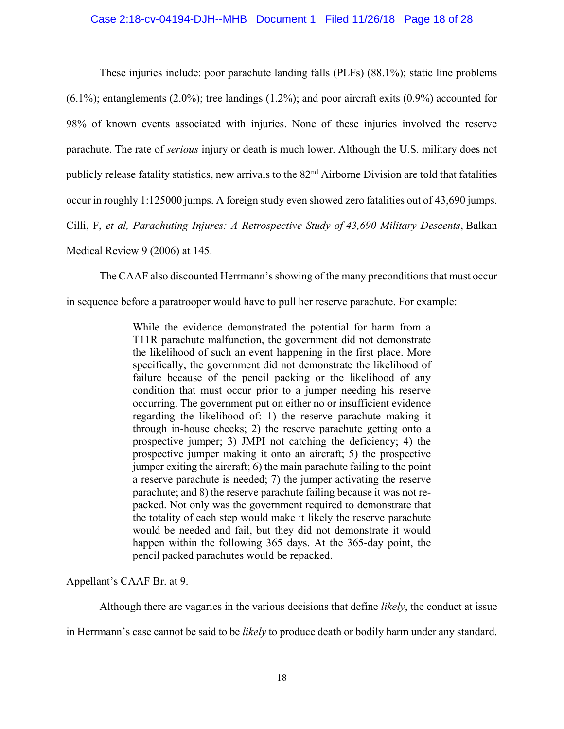## Case 2:18-cv-04194-DJH--MHB Document 1 Filed 11/26/18 Page 18 of 28

These injuries include: poor parachute landing falls (PLFs) (88.1%); static line problems  $(6.1\%)$ ; entanglements  $(2.0\%)$ ; tree landings  $(1.2\%)$ ; and poor aircraft exits  $(0.9\%)$  accounted for 98% of known events associated with injuries. None of these injuries involved the reserve parachute. The rate of *serious* injury or death is much lower. Although the U.S. military does not publicly release fatality statistics, new arrivals to the  $82<sup>nd</sup>$  Airborne Division are told that fatalities occur in roughly 1:125000 jumps. A foreign study even showed zero fatalities out of 43,690 jumps. Cilli, F, *et al, Parachuting Injures: A Retrospective Study of 43,690 Military Descents*, Balkan Medical Review 9 (2006) at 145.

The CAAF also discounted Herrmann's showing of the many preconditions that must occur

in sequence before a paratrooper would have to pull her reserve parachute. For example:

While the evidence demonstrated the potential for harm from a T11R parachute malfunction, the government did not demonstrate the likelihood of such an event happening in the first place. More specifically, the government did not demonstrate the likelihood of failure because of the pencil packing or the likelihood of any condition that must occur prior to a jumper needing his reserve occurring. The government put on either no or insufficient evidence regarding the likelihood of: 1) the reserve parachute making it through in-house checks; 2) the reserve parachute getting onto a prospective jumper; 3) JMPI not catching the deficiency; 4) the prospective jumper making it onto an aircraft; 5) the prospective jumper exiting the aircraft; 6) the main parachute failing to the point a reserve parachute is needed; 7) the jumper activating the reserve parachute; and 8) the reserve parachute failing because it was not repacked. Not only was the government required to demonstrate that the totality of each step would make it likely the reserve parachute would be needed and fail, but they did not demonstrate it would happen within the following 365 days. At the 365-day point, the pencil packed parachutes would be repacked.

Appellant's CAAF Br. at 9.

Although there are vagaries in the various decisions that define *likely*, the conduct at issue

in Herrmann's case cannot be said to be *likely* to produce death or bodily harm under any standard.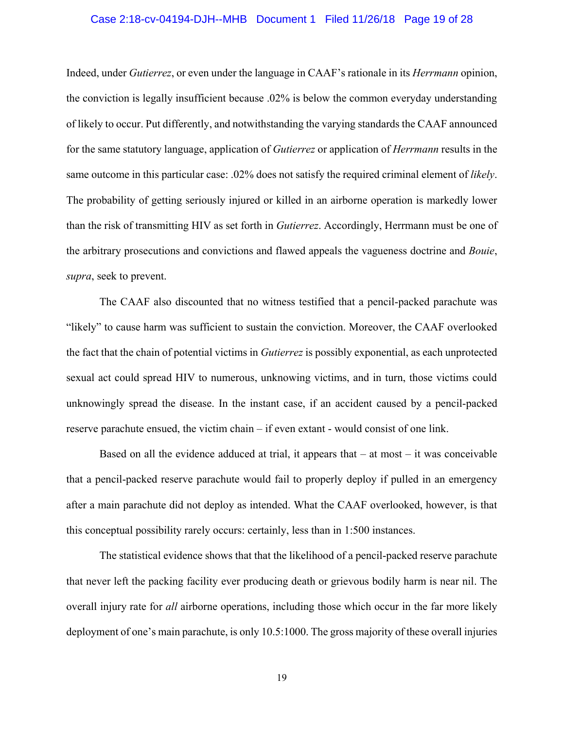## Case 2:18-cv-04194-DJH--MHB Document 1 Filed 11/26/18 Page 19 of 28

Indeed, under *Gutierrez*, or even under the language in CAAF's rationale in its *Herrmann* opinion, the conviction is legally insufficient because .02% is below the common everyday understanding of likely to occur. Put differently, and notwithstanding the varying standards the CAAF announced for the same statutory language, application of *Gutierrez* or application of *Herrmann* results in the same outcome in this particular case: .02% does not satisfy the required criminal element of *likely*. The probability of getting seriously injured or killed in an airborne operation is markedly lower than the risk of transmitting HIV as set forth in *Gutierrez*. Accordingly, Herrmann must be one of the arbitrary prosecutions and convictions and flawed appeals the vagueness doctrine and *Bouie*, *supra*, seek to prevent.

The CAAF also discounted that no witness testified that a pencil-packed parachute was "likely" to cause harm was sufficient to sustain the conviction. Moreover, the CAAF overlooked the fact that the chain of potential victims in *Gutierrez* is possibly exponential, as each unprotected sexual act could spread HIV to numerous, unknowing victims, and in turn, those victims could unknowingly spread the disease. In the instant case, if an accident caused by a pencil-packed reserve parachute ensued, the victim chain – if even extant - would consist of one link.

Based on all the evidence adduced at trial, it appears that  $-$  at most  $-$  it was conceivable that a pencil-packed reserve parachute would fail to properly deploy if pulled in an emergency after a main parachute did not deploy as intended. What the CAAF overlooked, however, is that this conceptual possibility rarely occurs: certainly, less than in 1:500 instances.

The statistical evidence shows that that the likelihood of a pencil-packed reserve parachute that never left the packing facility ever producing death or grievous bodily harm is near nil. The overall injury rate for *all* airborne operations, including those which occur in the far more likely deployment of one's main parachute, is only 10.5:1000. The gross majority of these overall injuries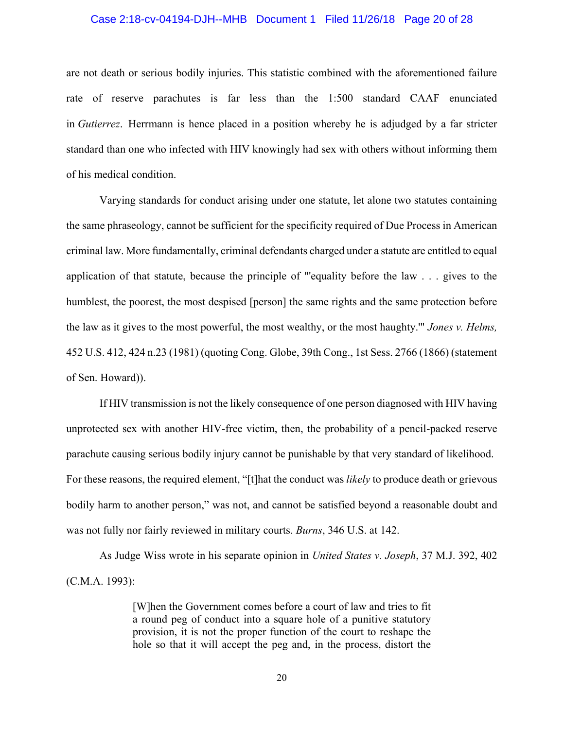#### Case 2:18-cv-04194-DJH--MHB Document 1 Filed 11/26/18 Page 20 of 28

are not death or serious bodily injuries. This statistic combined with the aforementioned failure rate of reserve parachutes is far less than the 1:500 standard CAAF enunciated in *Gutierrez*. Herrmann is hence placed in a position whereby he is adjudged by a far stricter standard than one who infected with HIV knowingly had sex with others without informing them of his medical condition.

Varying standards for conduct arising under one statute, let alone two statutes containing the same phraseology, cannot be sufficient for the specificity required of Due Process in American criminal law. More fundamentally, criminal defendants charged under a statute are entitled to equal application of that statute, because the principle of "'equality before the law . . . gives to the humblest, the poorest, the most despised [person] the same rights and the same protection before the law as it gives to the most powerful, the most wealthy, or the most haughty.'" *Jones v. Helms,*  452 U.S. 412, 424 n.23 (1981) (quoting Cong. Globe, 39th Cong., 1st Sess. 2766 (1866) (statement of Sen. Howard)).

If HIV transmission is not the likely consequence of one person diagnosed with HIV having unprotected sex with another HIV-free victim, then, the probability of a pencil-packed reserve parachute causing serious bodily injury cannot be punishable by that very standard of likelihood. For these reasons, the required element, "[t]hat the conduct was *likely* to produce death or grievous bodily harm to another person," was not, and cannot be satisfied beyond a reasonable doubt and was not fully nor fairly reviewed in military courts. *Burns*, 346 U.S. at 142.

As Judge Wiss wrote in his separate opinion in *United States v. Joseph*, 37 M.J. 392, 402 (C.M.A. 1993):

> [W]hen the Government comes before a court of law and tries to fit a round peg of conduct into a square hole of a punitive statutory provision, it is not the proper function of the court to reshape the hole so that it will accept the peg and, in the process, distort the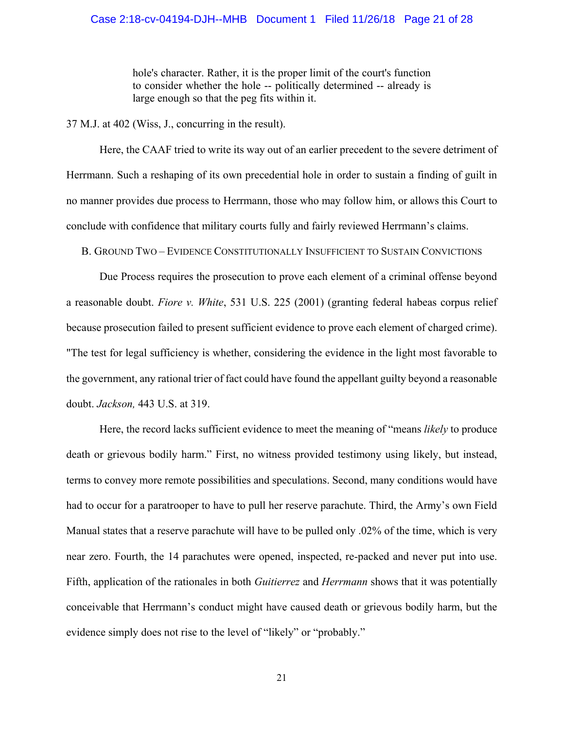#### Case 2:18-cv-04194-DJH--MHB Document 1 Filed 11/26/18 Page 21 of 28

hole's character. Rather, it is the proper limit of the court's function to consider whether the hole -- politically determined -- already is large enough so that the peg fits within it.

37 M.J. at 402 (Wiss, J., concurring in the result).

Here, the CAAF tried to write its way out of an earlier precedent to the severe detriment of Herrmann. Such a reshaping of its own precedential hole in order to sustain a finding of guilt in no manner provides due process to Herrmann, those who may follow him, or allows this Court to conclude with confidence that military courts fully and fairly reviewed Herrmann's claims.

B. GROUND TWO – EVIDENCE CONSTITUTIONALLY INSUFFICIENT TO SUSTAIN CONVICTIONS

Due Process requires the prosecution to prove each element of a criminal offense beyond a reasonable doubt. *Fiore v. White*, 531 U.S. 225 (2001) (granting federal habeas corpus relief because prosecution failed to present sufficient evidence to prove each element of charged crime). "The test for legal sufficiency is whether, considering the evidence in the light most favorable to the government, any rational trier of fact could have found the appellant guilty beyond a reasonable doubt. *Jackson,* 443 U.S. at 319.

Here, the record lacks sufficient evidence to meet the meaning of "means *likely* to produce death or grievous bodily harm." First, no witness provided testimony using likely, but instead, terms to convey more remote possibilities and speculations. Second, many conditions would have had to occur for a paratrooper to have to pull her reserve parachute. Third, the Army's own Field Manual states that a reserve parachute will have to be pulled only .02% of the time, which is very near zero. Fourth, the 14 parachutes were opened, inspected, re-packed and never put into use. Fifth, application of the rationales in both *Guitierrez* and *Herrmann* shows that it was potentially conceivable that Herrmann's conduct might have caused death or grievous bodily harm, but the evidence simply does not rise to the level of "likely" or "probably."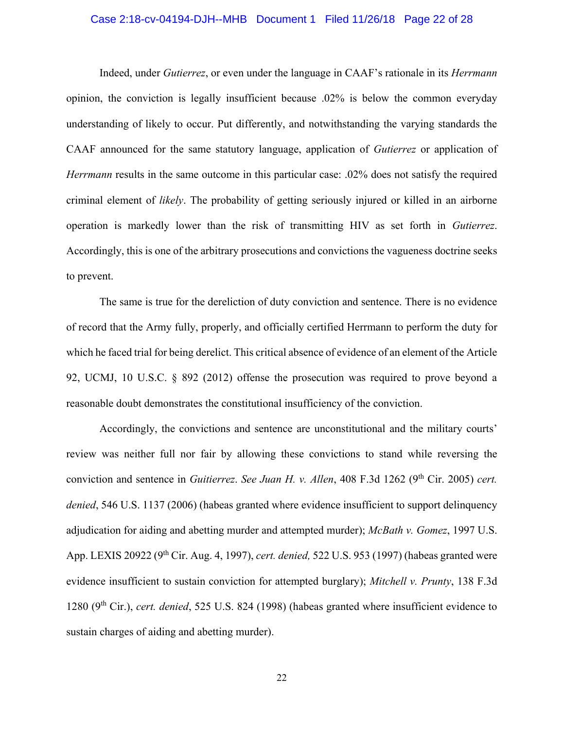## Case 2:18-cv-04194-DJH--MHB Document 1 Filed 11/26/18 Page 22 of 28

Indeed, under *Gutierrez*, or even under the language in CAAF's rationale in its *Herrmann* opinion, the conviction is legally insufficient because .02% is below the common everyday understanding of likely to occur. Put differently, and notwithstanding the varying standards the CAAF announced for the same statutory language, application of *Gutierrez* or application of *Herrmann* results in the same outcome in this particular case: .02% does not satisfy the required criminal element of *likely*. The probability of getting seriously injured or killed in an airborne operation is markedly lower than the risk of transmitting HIV as set forth in *Gutierrez*. Accordingly, this is one of the arbitrary prosecutions and convictions the vagueness doctrine seeks to prevent.

The same is true for the dereliction of duty conviction and sentence. There is no evidence of record that the Army fully, properly, and officially certified Herrmann to perform the duty for which he faced trial for being derelict. This critical absence of evidence of an element of the Article 92, UCMJ, 10 U.S.C. § 892 (2012) offense the prosecution was required to prove beyond a reasonable doubt demonstrates the constitutional insufficiency of the conviction.

Accordingly, the convictions and sentence are unconstitutional and the military courts' review was neither full nor fair by allowing these convictions to stand while reversing the conviction and sentence in *Guitierrez*. *See Juan H. v. Allen*, 408 F.3d 1262 (9<sup>th</sup> Cir. 2005) *cert. denied*, 546 U.S. 1137 (2006) (habeas granted where evidence insufficient to support delinquency adjudication for aiding and abetting murder and attempted murder); *McBath v. Gomez*, 1997 U.S. App. LEXIS 20922 (9th Cir. Aug. 4, 1997), *cert. denied,* 522 U.S. 953 (1997) (habeas granted were evidence insufficient to sustain conviction for attempted burglary); *Mitchell v. Prunty*, 138 F.3d 1280 (9th Cir.), *cert. denied*, 525 U.S. 824 (1998) (habeas granted where insufficient evidence to sustain charges of aiding and abetting murder).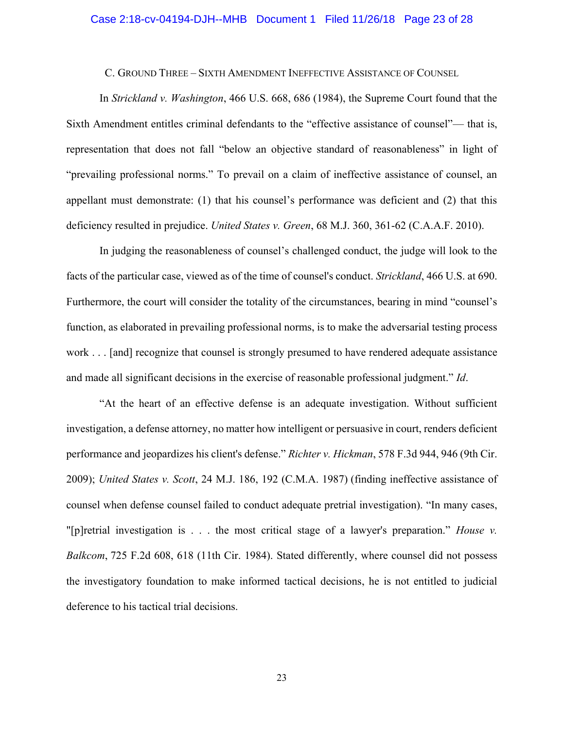## Case 2:18-cv-04194-DJH--MHB Document 1 Filed 11/26/18 Page 23 of 28

C. GROUND THREE – SIXTH AMENDMENT INEFFECTIVE ASSISTANCE OF COUNSEL

In *Strickland v. Washington*, 466 U.S. 668, 686 (1984), the Supreme Court found that the Sixth Amendment entitles criminal defendants to the "effective assistance of counsel"— that is, representation that does not fall "below an objective standard of reasonableness" in light of "prevailing professional norms." To prevail on a claim of ineffective assistance of counsel, an appellant must demonstrate: (1) that his counsel's performance was deficient and (2) that this deficiency resulted in prejudice. *United States v. Green*, 68 M.J. 360, 361-62 (C.A.A.F. 2010).

In judging the reasonableness of counsel's challenged conduct, the judge will look to the facts of the particular case, viewed as of the time of counsel's conduct. *Strickland*, 466 U.S. at 690. Furthermore, the court will consider the totality of the circumstances, bearing in mind "counsel's function, as elaborated in prevailing professional norms, is to make the adversarial testing process work . . . [and] recognize that counsel is strongly presumed to have rendered adequate assistance and made all significant decisions in the exercise of reasonable professional judgment." *Id*.

"At the heart of an effective defense is an adequate investigation. Without sufficient investigation, a defense attorney, no matter how intelligent or persuasive in court, renders deficient performance and jeopardizes his client's defense." *Richter v. Hickman*, 578 F.3d 944, 946 (9th Cir. 2009); *United States v. Scott*, 24 M.J. 186, 192 (C.M.A. 1987) (finding ineffective assistance of counsel when defense counsel failed to conduct adequate pretrial investigation). "In many cases, "[p]retrial investigation is . . . the most critical stage of a lawyer's preparation." *House v. Balkcom*, 725 F.2d 608, 618 (11th Cir. 1984). Stated differently, where counsel did not possess the investigatory foundation to make informed tactical decisions, he is not entitled to judicial deference to his tactical trial decisions.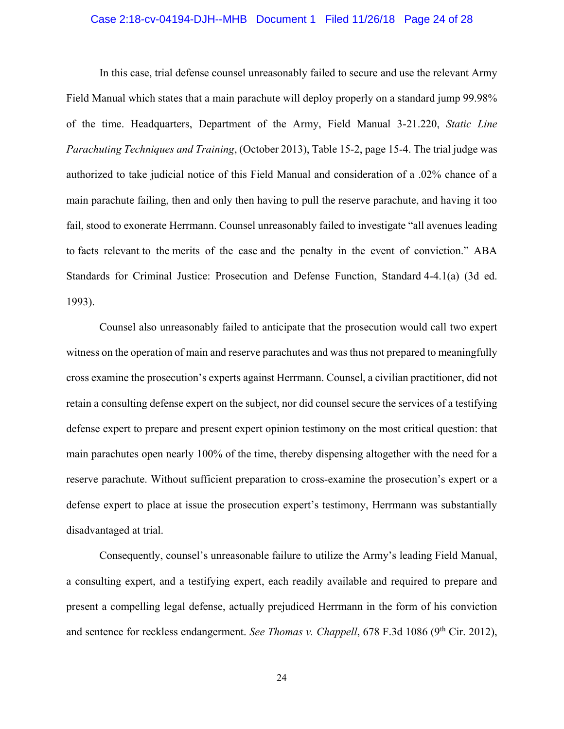## Case 2:18-cv-04194-DJH--MHB Document 1 Filed 11/26/18 Page 24 of 28

In this case, trial defense counsel unreasonably failed to secure and use the relevant Army Field Manual which states that a main parachute will deploy properly on a standard jump 99.98% of the time. Headquarters, Department of the Army, Field Manual 3-21.220, *Static Line Parachuting Techniques and Training*, (October 2013), Table 15-2, page 15-4. The trial judge was authorized to take judicial notice of this Field Manual and consideration of a .02% chance of a main parachute failing, then and only then having to pull the reserve parachute, and having it too fail, stood to exonerate Herrmann. Counsel unreasonably failed to investigate "all avenues leading to facts relevant to the merits of the case and the penalty in the event of conviction." ABA Standards for Criminal Justice: Prosecution and Defense Function, Standard 4-4.1(a) (3d ed. 1993).

Counsel also unreasonably failed to anticipate that the prosecution would call two expert witness on the operation of main and reserve parachutes and was thus not prepared to meaningfully cross examine the prosecution's experts against Herrmann. Counsel, a civilian practitioner, did not retain a consulting defense expert on the subject, nor did counsel secure the services of a testifying defense expert to prepare and present expert opinion testimony on the most critical question: that main parachutes open nearly 100% of the time, thereby dispensing altogether with the need for a reserve parachute. Without sufficient preparation to cross-examine the prosecution's expert or a defense expert to place at issue the prosecution expert's testimony, Herrmann was substantially disadvantaged at trial.

Consequently, counsel's unreasonable failure to utilize the Army's leading Field Manual, a consulting expert, and a testifying expert, each readily available and required to prepare and present a compelling legal defense, actually prejudiced Herrmann in the form of his conviction and sentence for reckless endangerment. *See Thomas v. Chappell*, 678 F.3d 1086 (9<sup>th</sup> Cir. 2012),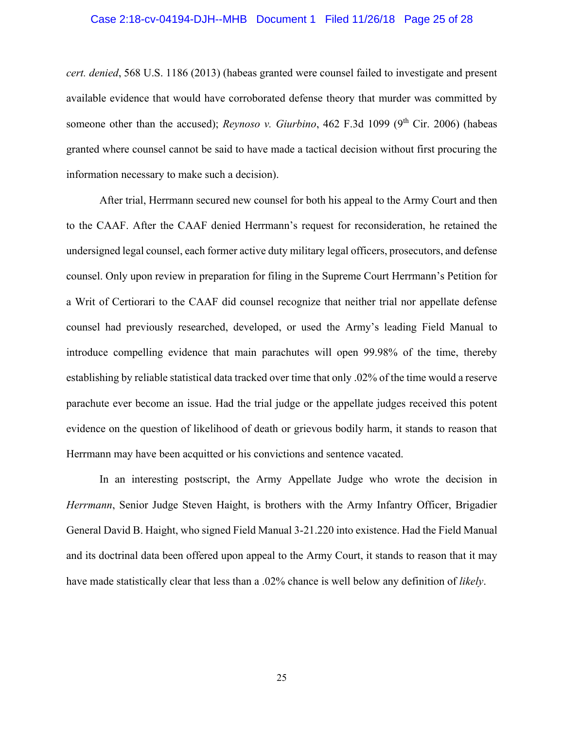# Case 2:18-cv-04194-DJH--MHB Document 1 Filed 11/26/18 Page 25 of 28

*cert. denied*, 568 U.S. 1186 (2013) (habeas granted were counsel failed to investigate and present available evidence that would have corroborated defense theory that murder was committed by someone other than the accused); *Reynoso v. Giurbino*, 462 F.3d 1099 (9<sup>th</sup> Cir. 2006) (habeas granted where counsel cannot be said to have made a tactical decision without first procuring the information necessary to make such a decision).

After trial, Herrmann secured new counsel for both his appeal to the Army Court and then to the CAAF. After the CAAF denied Herrmann's request for reconsideration, he retained the undersigned legal counsel, each former active duty military legal officers, prosecutors, and defense counsel. Only upon review in preparation for filing in the Supreme Court Herrmann's Petition for a Writ of Certiorari to the CAAF did counsel recognize that neither trial nor appellate defense counsel had previously researched, developed, or used the Army's leading Field Manual to introduce compelling evidence that main parachutes will open 99.98% of the time, thereby establishing by reliable statistical data tracked over time that only .02% of the time would a reserve parachute ever become an issue. Had the trial judge or the appellate judges received this potent evidence on the question of likelihood of death or grievous bodily harm, it stands to reason that Herrmann may have been acquitted or his convictions and sentence vacated.

In an interesting postscript, the Army Appellate Judge who wrote the decision in *Herrmann*, Senior Judge Steven Haight, is brothers with the Army Infantry Officer, Brigadier General David B. Haight, who signed Field Manual 3-21.220 into existence. Had the Field Manual and its doctrinal data been offered upon appeal to the Army Court, it stands to reason that it may have made statistically clear that less than a .02% chance is well below any definition of *likely*.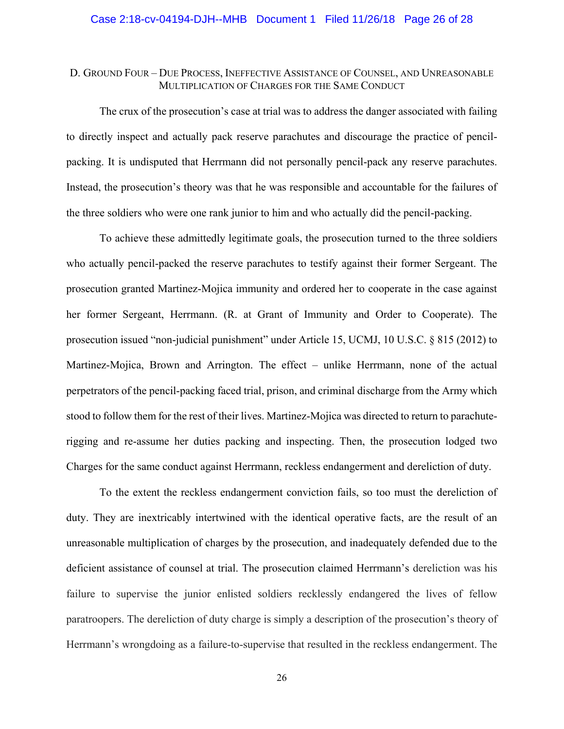## D. GROUND FOUR – DUE PROCESS, INEFFECTIVE ASSISTANCE OF COUNSEL, AND UNREASONABLE MULTIPLICATION OF CHARGES FOR THE SAME CONDUCT

The crux of the prosecution's case at trial was to address the danger associated with failing to directly inspect and actually pack reserve parachutes and discourage the practice of pencilpacking. It is undisputed that Herrmann did not personally pencil-pack any reserve parachutes. Instead, the prosecution's theory was that he was responsible and accountable for the failures of the three soldiers who were one rank junior to him and who actually did the pencil-packing.

To achieve these admittedly legitimate goals, the prosecution turned to the three soldiers who actually pencil-packed the reserve parachutes to testify against their former Sergeant. The prosecution granted Martinez-Mojica immunity and ordered her to cooperate in the case against her former Sergeant, Herrmann. (R. at Grant of Immunity and Order to Cooperate). The prosecution issued "non-judicial punishment" under Article 15, UCMJ, 10 U.S.C. § 815 (2012) to Martinez-Mojica, Brown and Arrington. The effect – unlike Herrmann, none of the actual perpetrators of the pencil-packing faced trial, prison, and criminal discharge from the Army which stood to follow them for the rest of their lives. Martinez-Mojica was directed to return to parachuterigging and re-assume her duties packing and inspecting. Then, the prosecution lodged two Charges for the same conduct against Herrmann, reckless endangerment and dereliction of duty.

To the extent the reckless endangerment conviction fails, so too must the dereliction of duty. They are inextricably intertwined with the identical operative facts, are the result of an unreasonable multiplication of charges by the prosecution, and inadequately defended due to the deficient assistance of counsel at trial. The prosecution claimed Herrmann's dereliction was his failure to supervise the junior enlisted soldiers recklessly endangered the lives of fellow paratroopers. The dereliction of duty charge is simply a description of the prosecution's theory of Herrmann's wrongdoing as a failure-to-supervise that resulted in the reckless endangerment. The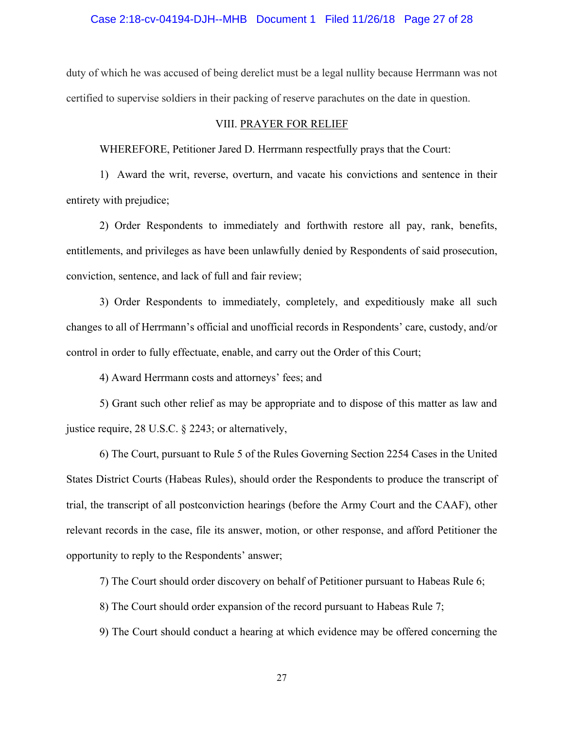#### Case 2:18-cv-04194-DJH--MHB Document 1 Filed 11/26/18 Page 27 of 28

duty of which he was accused of being derelict must be a legal nullity because Herrmann was not certified to supervise soldiers in their packing of reserve parachutes on the date in question.

#### VIII. PRAYER FOR RELIEF

WHEREFORE, Petitioner Jared D. Herrmann respectfully prays that the Court:

1) Award the writ, reverse, overturn, and vacate his convictions and sentence in their entirety with prejudice;

2) Order Respondents to immediately and forthwith restore all pay, rank, benefits, entitlements, and privileges as have been unlawfully denied by Respondents of said prosecution, conviction, sentence, and lack of full and fair review;

3) Order Respondents to immediately, completely, and expeditiously make all such changes to all of Herrmann's official and unofficial records in Respondents' care, custody, and/or control in order to fully effectuate, enable, and carry out the Order of this Court;

4) Award Herrmann costs and attorneys' fees; and

5) Grant such other relief as may be appropriate and to dispose of this matter as law and justice require, 28 U.S.C. § 2243; or alternatively,

6) The Court, pursuant to Rule 5 of the Rules Governing Section 2254 Cases in the United States District Courts (Habeas Rules), should order the Respondents to produce the transcript of trial, the transcript of all postconviction hearings (before the Army Court and the CAAF), other relevant records in the case, file its answer, motion, or other response, and afford Petitioner the opportunity to reply to the Respondents' answer;

7) The Court should order discovery on behalf of Petitioner pursuant to Habeas Rule 6;

8) The Court should order expansion of the record pursuant to Habeas Rule 7;

9) The Court should conduct a hearing at which evidence may be offered concerning the